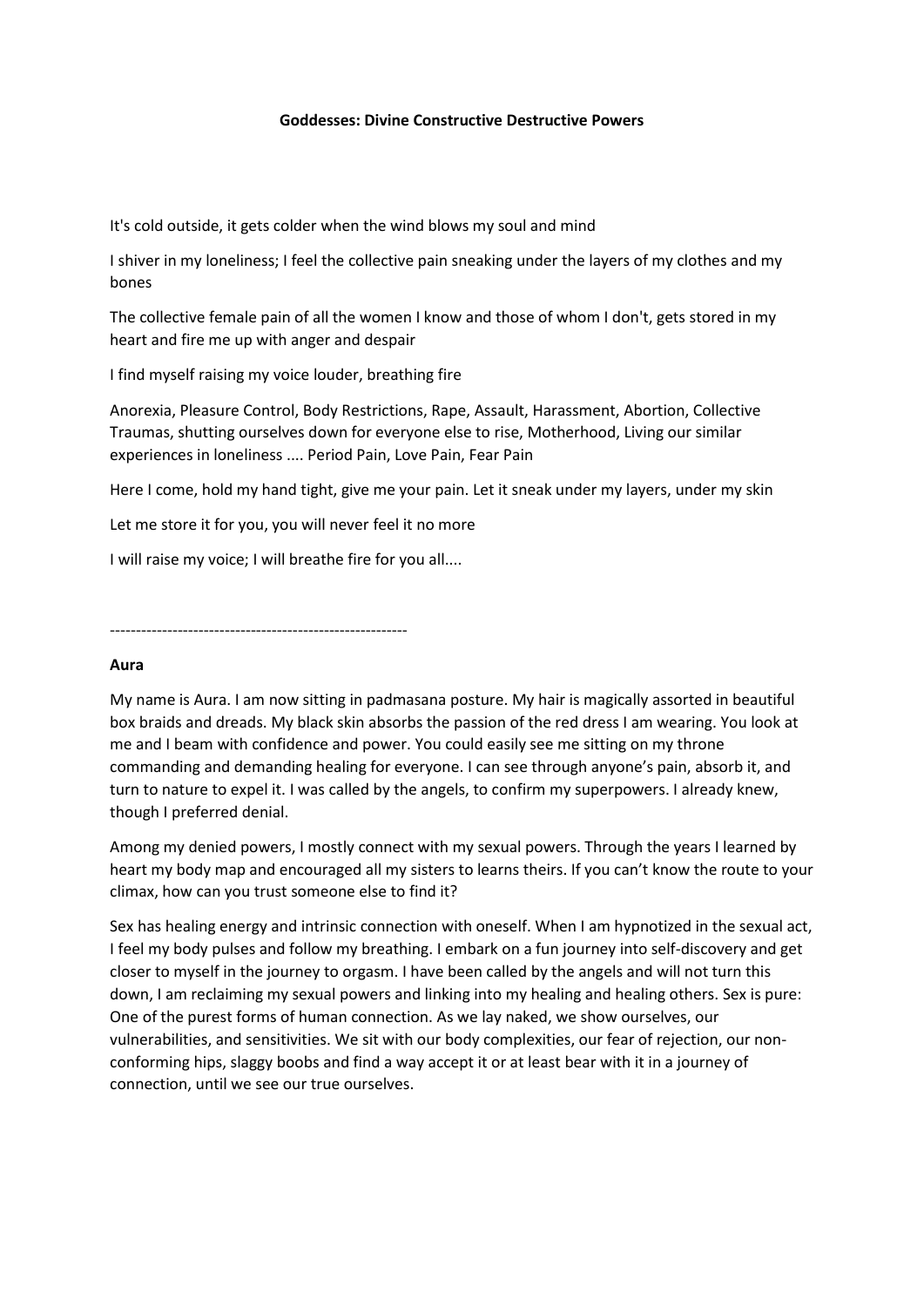## **Goddesses: Divine Constructive Destructive Powers**

It's cold outside, it gets colder when the wind blows my soul and mind

I shiver in my loneliness; I feel the collective pain sneaking under the layers of my clothes and my bones

The collective female pain of all the women I know and those of whom I don't, gets stored in my heart and fire me up with anger and despair

I find myself raising my voice louder, breathing fire

Anorexia, Pleasure Control, Body Restrictions, Rape, Assault, Harassment, Abortion, Collective Traumas, shutting ourselves down for everyone else to rise, Motherhood, Living our similar experiences in loneliness .... Period Pain, Love Pain, Fear Pain

Here I come, hold my hand tight, give me your pain. Let it sneak under my layers, under my skin

Let me store it for you, you will never feel it no more

I will raise my voice; I will breathe fire for you all....

---------------------------------------------------------

#### **Aura**

My name is Aura. I am now sitting in padmasana posture. My hair is magically assorted in beautiful box braids and dreads. My black skin absorbs the passion of the red dress I am wearing. You look at me and I beam with confidence and power. You could easily see me sitting on my throne commanding and demanding healing for everyone. I can see through anyone's pain, absorb it, and turn to nature to expel it. I was called by the angels, to confirm my superpowers. I already knew, though I preferred denial.

Among my denied powers, I mostly connect with my sexual powers. Through the years I learned by heart my body map and encouraged all my sisters to learns theirs. If you can't know the route to your climax, how can you trust someone else to find it?

Sex has healing energy and intrinsic connection with oneself. When I am hypnotized in the sexual act, I feel my body pulses and follow my breathing. I embark on a fun journey into self-discovery and get closer to myself in the journey to orgasm. I have been called by the angels and will not turn this down, I am reclaiming my sexual powers and linking into my healing and healing others. Sex is pure: One of the purest forms of human connection. As we lay naked, we show ourselves, our vulnerabilities, and sensitivities. We sit with our body complexities, our fear of rejection, our nonconforming hips, slaggy boobs and find a way accept it or at least bear with it in a journey of connection, until we see our true ourselves.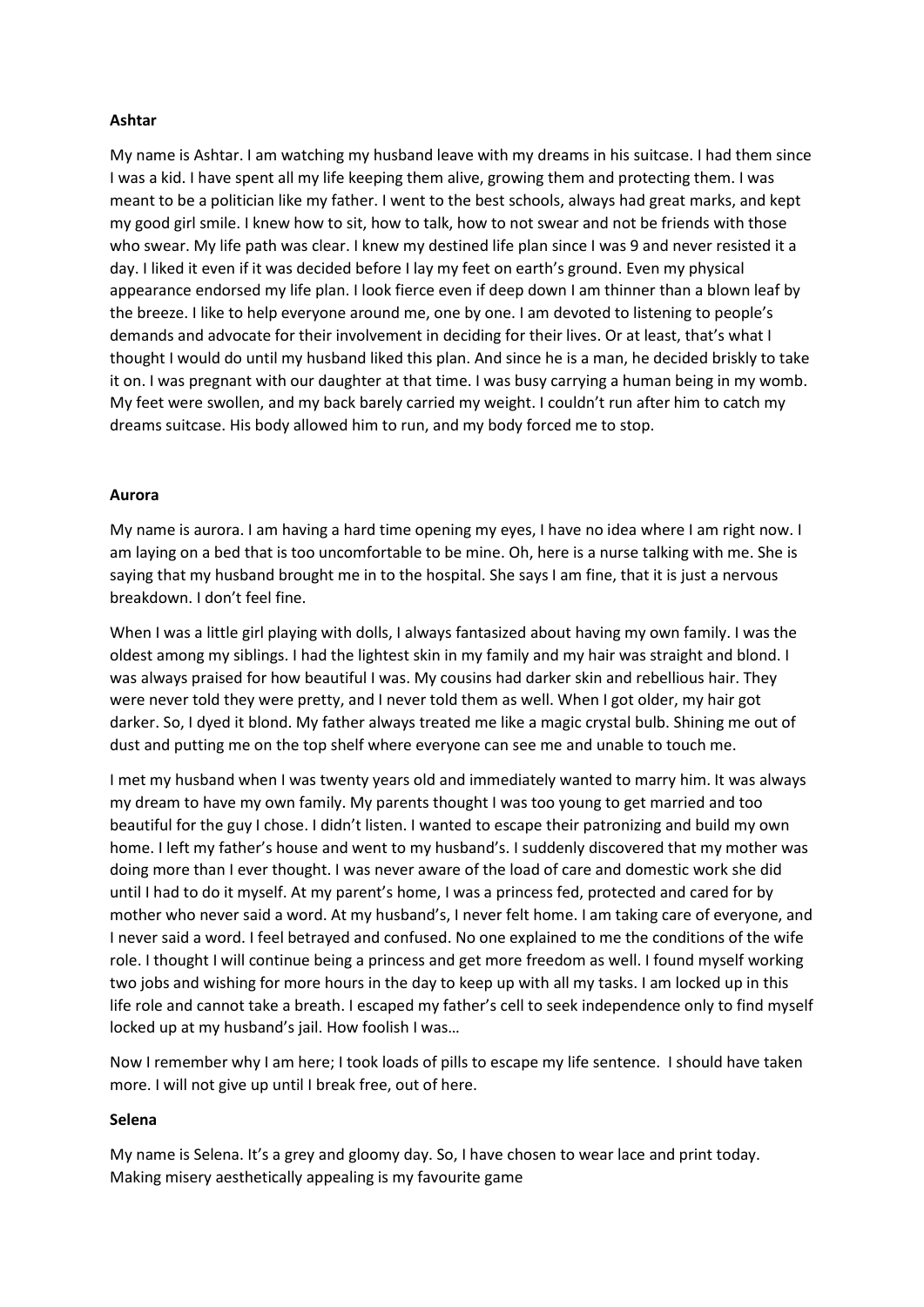# **Ashtar**

My name is Ashtar. I am watching my husband leave with my dreams in his suitcase. I had them since I was a kid. I have spent all my life keeping them alive, growing them and protecting them. I was meant to be a politician like my father. I went to the best schools, always had great marks, and kept my good girl smile. I knew how to sit, how to talk, how to not swear and not be friends with those who swear. My life path was clear. I knew my destined life plan since I was 9 and never resisted it a day. I liked it even if it was decided before I lay my feet on earth's ground. Even my physical appearance endorsed my life plan. I look fierce even if deep down I am thinner than a blown leaf by the breeze. I like to help everyone around me, one by one. I am devoted to listening to people's demands and advocate for their involvement in deciding for their lives. Or at least, that's what I thought I would do until my husband liked this plan. And since he is a man, he decided briskly to take it on. I was pregnant with our daughter at that time. I was busy carrying a human being in my womb. My feet were swollen, and my back barely carried my weight. I couldn't run after him to catch my dreams suitcase. His body allowed him to run, and my body forced me to stop.

## **Aurora**

My name is aurora. I am having a hard time opening my eyes, I have no idea where I am right now. I am laying on a bed that is too uncomfortable to be mine. Oh, here is a nurse talking with me. She is saying that my husband brought me in to the hospital. She says I am fine, that it is just a nervous breakdown. I don't feel fine.

When I was a little girl playing with dolls, I always fantasized about having my own family. I was the oldest among my siblings. I had the lightest skin in my family and my hair was straight and blond. I was always praised for how beautiful I was. My cousins had darker skin and rebellious hair. They were never told they were pretty, and I never told them as well. When I got older, my hair got darker. So, I dyed it blond. My father always treated me like a magic crystal bulb. Shining me out of dust and putting me on the top shelf where everyone can see me and unable to touch me.

I met my husband when I was twenty years old and immediately wanted to marry him. It was always my dream to have my own family. My parents thought I was too young to get married and too beautiful for the guy I chose. I didn't listen. I wanted to escape their patronizing and build my own home. I left my father's house and went to my husband's. I suddenly discovered that my mother was doing more than I ever thought. I was never aware of the load of care and domestic work she did until I had to do it myself. At my parent's home, I was a princess fed, protected and cared for by mother who never said a word. At my husband's, I never felt home. I am taking care of everyone, and I never said a word. I feel betrayed and confused. No one explained to me the conditions of the wife role. I thought I will continue being a princess and get more freedom as well. I found myself working two jobs and wishing for more hours in the day to keep up with all my tasks. I am locked up in this life role and cannot take a breath. I escaped my father's cell to seek independence only to find myself locked up at my husband's jail. How foolish I was…

Now I remember why I am here; I took loads of pills to escape my life sentence. I should have taken more. I will not give up until I break free, out of here.

## **Selena**

My name is Selena. It's a grey and gloomy day. So, I have chosen to wear lace and print today. Making misery aesthetically appealing is my favourite game